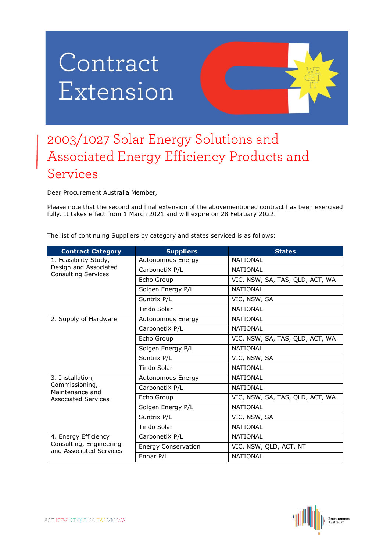## Contract Extension



## 2003/1027 Solar Energy Solutions and Associated Energy Efficiency Products and Services

Dear Procurement Australia Member,

Please note that the second and final extension of the abovementioned contract has been exercised fully. It takes effect from 1 March 2021 and will expire on 28 February 2022.

The list of continuing Suppliers by category and states serviced is as follows:

| <b>Contract Category</b>                                                            | <b>Suppliers</b>           | <b>States</b>                   |
|-------------------------------------------------------------------------------------|----------------------------|---------------------------------|
| 1. Feasibility Study,<br>Design and Associated<br><b>Consulting Services</b>        | Autonomous Energy          | <b>NATIONAL</b>                 |
|                                                                                     | CarbonetiX P/L             | <b>NATIONAL</b>                 |
|                                                                                     | Echo Group                 | VIC, NSW, SA, TAS, QLD, ACT, WA |
|                                                                                     | Solgen Energy P/L          | <b>NATIONAL</b>                 |
|                                                                                     | Suntrix P/L                | VIC, NSW, SA                    |
|                                                                                     | Tindo Solar                | <b>NATIONAL</b>                 |
| 2. Supply of Hardware                                                               | Autonomous Energy          | <b>NATIONAL</b>                 |
|                                                                                     | CarbonetiX P/L             | <b>NATIONAL</b>                 |
|                                                                                     | Echo Group                 | VIC, NSW, SA, TAS, QLD, ACT, WA |
|                                                                                     | Solgen Energy P/L          | <b>NATIONAL</b>                 |
|                                                                                     | Suntrix P/L                | VIC, NSW, SA                    |
|                                                                                     | Tindo Solar                | <b>NATIONAL</b>                 |
| 3. Installation,<br>Commissioning,<br>Maintenance and<br><b>Associated Services</b> | Autonomous Energy          | <b>NATIONAL</b>                 |
|                                                                                     | CarbonetiX P/L             | <b>NATIONAL</b>                 |
|                                                                                     | Echo Group                 | VIC, NSW, SA, TAS, QLD, ACT, WA |
|                                                                                     | Solgen Energy P/L          | <b>NATIONAL</b>                 |
|                                                                                     | Suntrix P/L                | VIC, NSW, SA                    |
|                                                                                     | Tindo Solar                | <b>NATIONAL</b>                 |
| 4. Energy Efficiency<br>Consulting, Engineering<br>and Associated Services          | CarbonetiX P/L             | <b>NATIONAL</b>                 |
|                                                                                     | <b>Energy Conservation</b> | VIC, NSW, QLD, ACT, NT          |
|                                                                                     | Enhar P/L                  | <b>NATIONAL</b>                 |